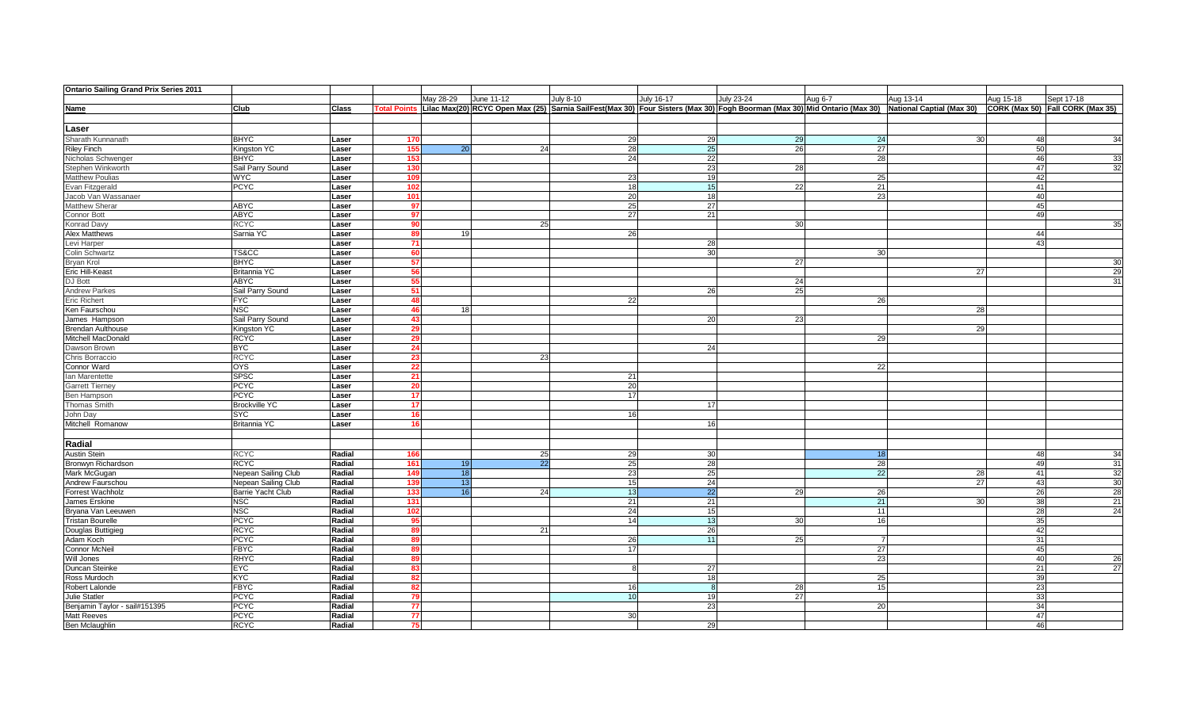| <b>Ontario Sailing Grand Prix Series 2011</b>       |                            |                  |                     |                 |            |                  |                                                                                                                                                     |                 |           |           |                                  |
|-----------------------------------------------------|----------------------------|------------------|---------------------|-----------------|------------|------------------|-----------------------------------------------------------------------------------------------------------------------------------------------------|-----------------|-----------|-----------|----------------------------------|
|                                                     |                            |                  |                     | May 28-29       | June 11-12 | <b>July 8-10</b> | July 16-17<br>July 23-24                                                                                                                            | Aug 6-7         | Aug 13-14 | Aug 15-18 | Sept 17-18                       |
| Name                                                | Club                       | <b>Class</b>     | <b>Total Points</b> |                 |            |                  | Lilac Max(20) RCYC Open Max (25) Sarnia SailFest(Max 30) Four Sisters (Max 30) Fogh Boorman (Max 30) Mid Ontario (Max 30) National Captial (Max 30) |                 |           |           | CORK (Max 50) Fall CORK (Max 35) |
|                                                     |                            |                  |                     |                 |            |                  |                                                                                                                                                     |                 |           |           |                                  |
|                                                     |                            |                  |                     |                 |            |                  |                                                                                                                                                     |                 |           |           |                                  |
| Laser                                               |                            |                  |                     |                 |            |                  |                                                                                                                                                     |                 |           |           |                                  |
| Sharath Kunnanath                                   | <b>BHYC</b>                | Laser            | 170                 |                 |            | 29               | 29<br>29                                                                                                                                            | 24              | 30        | 48        | 34                               |
| <b>Riley Finch</b>                                  | Kingston YC                | Laser            | 155                 | 20              | 24         | 28               | 26<br>25                                                                                                                                            | 27              |           | 50        |                                  |
| Nicholas Schwenger                                  | <b>BHYC</b>                | Laser            | 153                 |                 |            | 24               | 22                                                                                                                                                  | 28              |           | 46        | 33                               |
| Stephen Winkworth                                   | Sail Parry Sound           | Laser            | 130                 |                 |            |                  | 28<br>23                                                                                                                                            |                 |           | 47        | 32                               |
| <b>Matthew Poulias</b>                              | <b>WYC</b>                 | Laser            | 109                 |                 |            | 23               | 19                                                                                                                                                  | 25              |           | 42        |                                  |
| Evan Fitzgerald                                     | <b>PCYC</b>                | Laser            | 102                 |                 |            | 18               | 15<br>22                                                                                                                                            | $\overline{21}$ |           | 41        |                                  |
| Jacob Van Wassanaer                                 |                            | Laser            | 101                 |                 |            | 20               | 18                                                                                                                                                  | 23              |           | 40        |                                  |
| Matthew Sherar                                      | <b>ABYC</b>                | Laser            | 97                  |                 |            | 25               | 27                                                                                                                                                  |                 |           | 45        |                                  |
| <b>Connor Bott</b>                                  | <b>ABYC</b>                | Laser            | 97                  |                 |            | 27               | 21                                                                                                                                                  |                 |           | 49        |                                  |
| Konrad Davy                                         | <b>RCYC</b>                | Laser            | 90                  |                 | 25         |                  | 30 <sup>1</sup>                                                                                                                                     |                 |           |           | 35                               |
| Alex Matthews                                       | Sarnia YC                  | Laser            | 89                  | 19 <sub>l</sub> |            | 26               |                                                                                                                                                     |                 |           | 44        |                                  |
| Levi Harper                                         |                            | Laser            | - 71                |                 |            |                  | 28                                                                                                                                                  |                 |           | 43        |                                  |
| <b>Colin Schwartz</b>                               | TS&CC                      | Laser            | 60                  |                 |            |                  | 30                                                                                                                                                  | 30              |           |           |                                  |
| <b>Bryan Krol</b>                                   | <b>BHYC</b>                | Laser            | 57                  |                 |            |                  | 27                                                                                                                                                  |                 |           |           | 30 <sup>l</sup>                  |
| Eric Hill-Keast                                     | <b>Britannia YC</b>        | Laser            | 56                  |                 |            |                  |                                                                                                                                                     |                 | 27        |           | 29                               |
| DJ Bott                                             | <b>ABYC</b>                | Laser            | 55                  |                 |            |                  | 24                                                                                                                                                  |                 |           |           | 31                               |
| <b>Andrew Parkes</b>                                | Sail Parry Sound           | Laser            | -511                |                 |            |                  | 25<br>26                                                                                                                                            |                 |           |           |                                  |
| <b>Eric Richert</b>                                 | <b>FYC</b>                 | Laser            | 48                  |                 |            | 22               |                                                                                                                                                     | 26              |           |           |                                  |
| Ken Faurschou                                       | <b>NSC</b>                 | Laser            | 46                  | 18              |            |                  |                                                                                                                                                     |                 | 28        |           |                                  |
| James Hampson                                       | Sail Parry Sound           | Laser            | 43 <sup>1</sup>     |                 |            |                  | 23<br>20                                                                                                                                            |                 |           |           |                                  |
| <b>Brendan Aulthouse</b>                            | Kingston YC                | Laser            | 29                  |                 |            |                  |                                                                                                                                                     |                 | 29        |           |                                  |
| <b>Mitchell MacDonald</b>                           | <b>RCYC</b>                | Laser            | 29                  |                 |            |                  |                                                                                                                                                     | -29             |           |           |                                  |
| Dawson Brown                                        | <b>BYC</b>                 | Laser            | 24                  |                 |            |                  | 24                                                                                                                                                  |                 |           |           |                                  |
| Chris Borraccio                                     | <b>RCYC</b>                | Laser            | 23                  |                 | 23         |                  |                                                                                                                                                     |                 |           |           |                                  |
| Connor Ward                                         | <b>OYS</b>                 | Laser            | 22                  |                 |            |                  |                                                                                                                                                     | 22              |           |           |                                  |
| Ian Marentette                                      | <b>SPSC</b>                | Laser            | 21                  |                 |            | 21               |                                                                                                                                                     |                 |           |           |                                  |
| <b>Garrett Tierney</b>                              | <b>PCYC</b>                | Laser            | 20                  |                 |            | 20               |                                                                                                                                                     |                 |           |           |                                  |
| Ben Hampson                                         | <b>PCYC</b>                | Laser            | 17                  |                 |            | 17               |                                                                                                                                                     |                 |           |           |                                  |
| <b>Thomas Smith</b>                                 | <b>Brockville YC</b>       | Laser            | 17 <sup>1</sup>     |                 |            |                  | 17                                                                                                                                                  |                 |           |           |                                  |
| John Day                                            | SYC                        | Laser            | 16                  |                 |            | 16               |                                                                                                                                                     |                 |           |           |                                  |
| Mitchell Romanow                                    | Britannia YC               | Laser            | 16 <sup>1</sup>     |                 |            |                  | 16                                                                                                                                                  |                 |           |           |                                  |
|                                                     |                            |                  |                     |                 |            |                  |                                                                                                                                                     |                 |           |           |                                  |
| Radial                                              |                            |                  |                     |                 |            |                  |                                                                                                                                                     |                 |           |           |                                  |
| <b>Austin Stein</b>                                 | <b>RCYC</b>                | Radial           | 166                 |                 | 25         | 29               | 30                                                                                                                                                  | 18              |           | 48        | 34                               |
| Bronwyn Richardson                                  | <b>RCYC</b>                | Radial           | 161                 | 19              | 22         | 25               | 28                                                                                                                                                  | 28              |           | 49        | 31                               |
| Mark McGugan                                        | Nepean Sailing Club        | Radial           | 149                 | 18              |            | 23               | 25                                                                                                                                                  | 22              | 28        | 41        | 32                               |
| Andrew Faurschou                                    | Nepean Sailing Club        | Radial           | 139                 | 13              |            | 15               | 24                                                                                                                                                  |                 | 27        | 43        | 30                               |
| Forrest Wachholz                                    | Barrie Yacht Club          | Radial           | 133                 | 16              | 24         | 13               | 29<br>22                                                                                                                                            | 26              |           | 26        | 28                               |
| James Erskine                                       | <b>NSC</b>                 | Radial           | 131                 |                 |            | 21               | 21                                                                                                                                                  | 21              | 30        | 38        | 21                               |
| Bryana Van Leeuwen                                  | <b>NSC</b>                 | Radial           | 102                 |                 |            | 24               | 15                                                                                                                                                  | 11              |           | 28        | 24                               |
| <b>Tristan Bourelle</b>                             | <b>PCYC</b>                | Radial           | 95                  |                 |            | 14               | 13<br>30 <sup>1</sup>                                                                                                                               | 16              |           | 35        |                                  |
| Douglas Buttigieg                                   | <b>RCYC</b>                | Radial           | 89                  |                 | 21         |                  | 26                                                                                                                                                  |                 |           | 42        |                                  |
| Adam Koch                                           | <b>PCYC</b>                | Radial           | 89                  |                 |            | 26               | 25<br>11                                                                                                                                            |                 |           | 31        |                                  |
| <b>Connor McNeil</b>                                | <b>FBYC</b>                | Radial           |                     |                 |            | 17               |                                                                                                                                                     | 27              |           | 45        |                                  |
| Will Jones                                          | <b>RHYC</b>                | Radial           | 89                  |                 |            |                  |                                                                                                                                                     | 23              |           | 40        | 26                               |
| Duncan Steinke                                      | <b>EYC</b>                 | Radial           | 83                  |                 |            |                  | 27                                                                                                                                                  |                 |           | 21        | 27                               |
| Ross Murdoch                                        | KYC                        | Radial           | 82                  |                 |            |                  | 18                                                                                                                                                  | 25              |           | 39        |                                  |
| Robert Lalonde                                      | <b>FBYC</b>                | Radial           | 82                  |                 |            | 16               | 28                                                                                                                                                  | 15              |           | 23        |                                  |
| <b>Julie Statler</b>                                | <b>PCYC</b>                | Radial           | 79                  |                 |            | 10               | 27<br>19                                                                                                                                            |                 |           | 33        |                                  |
|                                                     |                            |                  | 77                  |                 |            |                  | 23                                                                                                                                                  |                 |           | 34        |                                  |
| Benjamin Taylor - sail#151395<br><b>Matt Reeves</b> | <b>PCYC</b><br><b>PCYC</b> | Radial<br>Radial | 77                  |                 |            | 30               |                                                                                                                                                     | 20              |           | 47        |                                  |
|                                                     |                            | Radial           |                     |                 |            |                  |                                                                                                                                                     |                 |           | 46        |                                  |
| Ben Mclaughlin                                      | <b>RCYC</b>                |                  | 75 <sub>1</sub>     |                 |            |                  | 29                                                                                                                                                  |                 |           |           |                                  |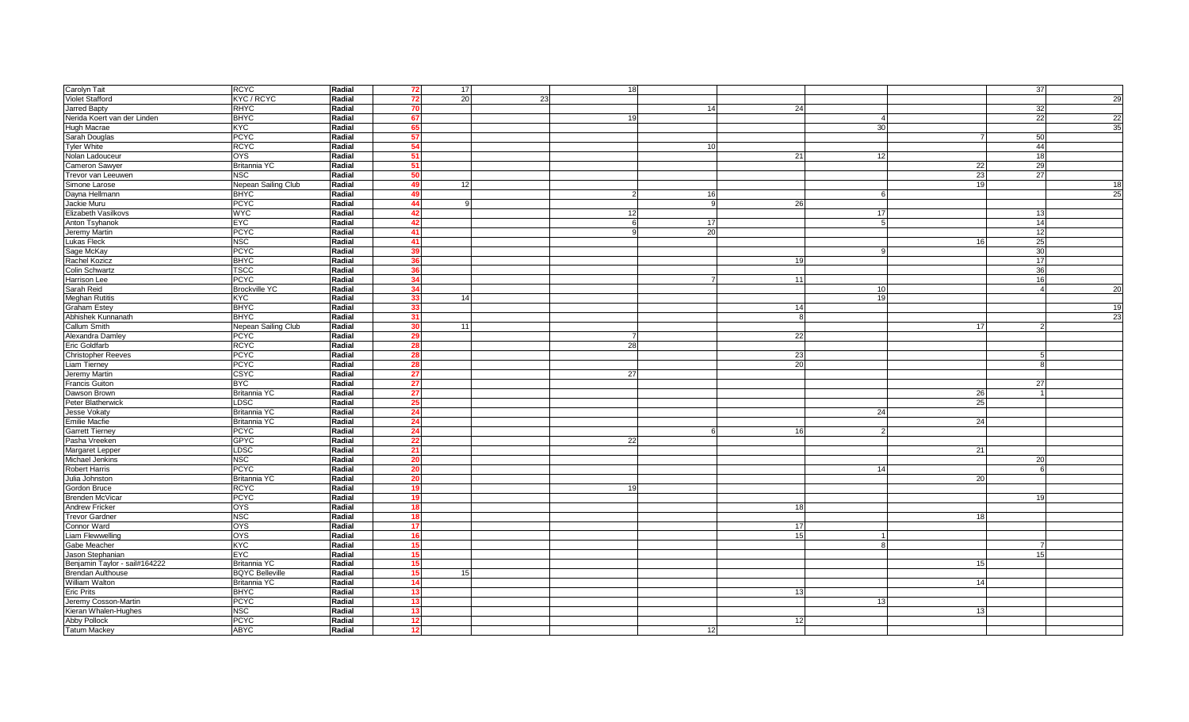| Carolyn Tait                  | <b>RCYC</b>            | Radial | -721            | 17 <sup>1</sup> |    | 18         |                 |           |                |    | 37             |    |
|-------------------------------|------------------------|--------|-----------------|-----------------|----|------------|-----------------|-----------|----------------|----|----------------|----|
| <b>Violet Stafford</b>        | KYC / RCYC             | Radial | 72              | <b>20</b>       | 23 |            |                 |           |                |    |                | 29 |
| Jarred Bapty                  | <b>RHYC</b>            | Radial | 70              |                 |    |            | 14              | 24        |                |    | 32             |    |
| Nerida Koert van der Linden   | <b>BHYC</b>            | Radial | 67              |                 |    | 19         |                 |           |                |    | 22             | 22 |
| Hugh Macrae                   | <b>K<sub>X</sub>C</b>  | Radial | 65              |                 |    |            |                 |           | 30             |    |                | 35 |
| Sarah Douglas                 | <b>PCYC</b>            | Radial | 57              |                 |    |            |                 |           |                |    | 50             |    |
| Tyler White                   | <b>RCYC</b>            | Radial | 54              |                 |    |            | 10 <sup>1</sup> |           |                |    | 44             |    |
| Nolan Ladouceur               | <b>OYS</b>             | Radial | - 51            |                 |    |            |                 | 21        | 12             |    | 18             |    |
| Cameron Sawyer                | Britannia YC           | Radial | 51              |                 |    |            |                 |           |                | 22 | 29             |    |
| Trevor van Leeuwen            | <b>NSC</b>             | Radial | 50              |                 |    |            |                 |           |                | 23 | 27             |    |
| Simone Larose                 | Nepean Sailing Club    | Radial | 49              | 12              |    |            |                 |           |                | 19 |                | 18 |
| Dayna Hellmann                | <b>BHYC</b>            | Radial | 49              |                 |    |            | 16              |           |                |    |                | 25 |
| Jackie Muru                   | <b>PCYC</b>            | Radial | 44              |                 |    |            |                 | <b>26</b> |                |    |                |    |
| <b>Elizabeth Vasilkovs</b>    | <b>WYC</b>             | Radial | 42              |                 |    | 12         |                 |           |                |    | 13             |    |
|                               | EYC                    | Radial | 42 <sub>1</sub> |                 |    | $\epsilon$ |                 |           | 17             |    | 14             |    |
| Anton Tsyhanok                |                        |        |                 |                 |    |            | 17              |           |                |    | 12             |    |
| Jeremy Martin                 | <b>PCYC</b>            | Radial | 41              |                 |    |            | 20              |           |                |    |                |    |
| <b>Lukas Fleck</b>            | <b>NSC</b>             | Radial | -411            |                 |    |            |                 |           |                | 16 | 25             |    |
| Sage McKay                    | <b>PCYC</b>            | Radial | 39              |                 |    |            |                 |           |                |    | 30             |    |
| Rachel Kozicz                 | <b>BHYC</b>            | Radial | 36              |                 |    |            |                 | 19        |                |    | 17             |    |
| Colin Schwartz                | <b>TSCC</b>            | Radial | 36              |                 |    |            |                 |           |                |    | 36             |    |
| <b>Harrison Lee</b>           | <b>PCYC</b>            | Radial | 34              |                 |    |            |                 | 11        |                |    | 16             |    |
| Sarah Reid                    | <b>Brockville YC</b>   | Radial | 34              |                 |    |            |                 |           | 10             |    | $\overline{4}$ | 20 |
| <b>Meghan Rutitis</b>         | <b>KYC</b>             | Radial | 33              | 14              |    |            |                 |           | 1 <sup>c</sup> |    |                |    |
| <b>Graham Estey</b>           | <b>BHYC</b>            | Radial | 33              |                 |    |            |                 | 14        |                |    |                | 19 |
| Abhishek Kunnanath            | <b>BHYC</b>            | Radial | 31              |                 |    |            |                 | 8         |                |    |                | 23 |
| Callum Smith                  | Nepean Sailing Club    | Radial | 30              | 11              |    |            |                 |           |                | 17 | $\mathcal{P}$  |    |
| Alexandra Damley              | <b>PCYC</b>            | Radial | 29              |                 |    |            |                 | 22        |                |    |                |    |
| <b>Eric Goldfarb</b>          | <b>RCYC</b>            | Radial | 28              |                 |    | 28         |                 |           |                |    |                |    |
| <b>Christopher Reeves</b>     | <b>PCYC</b>            | Radial | 28              |                 |    |            |                 | 23        |                |    | -5             |    |
| <b>Liam Tierney</b>           | <b>PCYC</b>            | Radial | 28              |                 |    |            |                 | 20        |                |    | 8              |    |
| Jeremy Martin                 | CSYC                   | Radial | 27              |                 |    | 27         |                 |           |                |    |                |    |
| <b>Francis Guiton</b>         | <b>BYC</b>             | Radial | 27              |                 |    |            |                 |           |                |    | 27             |    |
| Dawson Brown                  | Britannia YC           | Radial | 27              |                 |    |            |                 |           |                | 26 | $\overline{1}$ |    |
| Peter Blatherwick             | LDSC                   | Radial | 25              |                 |    |            |                 |           |                | 25 |                |    |
| Jesse Vokaty                  | <b>Britannia YC</b>    | Radial | 24              |                 |    |            |                 |           | 24             |    |                |    |
| <b>Emilie Macfie</b>          | Britannia YC           | Radial | 24              |                 |    |            |                 |           |                | 24 |                |    |
| <b>Garrett Tierney</b>        | <b>PCYC</b>            | Radial | 24              |                 |    |            |                 | 16        |                |    |                |    |
| Pasha Vreeken                 | <b>GPYC</b>            | Radial | 22              |                 |    | 22         |                 |           |                |    |                |    |
| Margaret Lepper               | LDSC                   | Radial | 21              |                 |    |            |                 |           |                | 21 |                |    |
| Michael Jenkins               | <b>NSC</b>             | Radial | -20             |                 |    |            |                 |           |                |    | 20             |    |
| <b>Robert Harris</b>          | <b>PCYC</b>            | Radial | 20              |                 |    |            |                 |           | 14             |    | 6              |    |
| Julia Johnston                | Britannia YC           | Radial | 20              |                 |    |            |                 |           |                | 20 |                |    |
| Gordon Bruce                  | <b>RCYC</b>            | Radial | 19              |                 |    | 19         |                 |           |                |    |                |    |
| <b>Brenden McVicar</b>        | <b>PCYC</b>            | Radial | 19              |                 |    |            |                 |           |                |    | 19             |    |
| <b>Andrew Fricker</b>         | <b>OYS</b>             | Radial | 18              |                 |    |            |                 | 18        |                |    |                |    |
| <b>Trevor Gardner</b>         | <b>NSC</b>             | Radial | 18              |                 |    |            |                 |           |                | 18 |                |    |
| Connor Ward                   | <b>OYS</b>             | Radial | 17 <sup>1</sup> |                 |    |            |                 | 17        |                |    |                |    |
| Liam Flewwelling              | <b>OYS</b>             | Radial | 16              |                 |    |            |                 | 15        |                |    |                |    |
| Gabe Meacher                  | KYC                    | Radial | 15 <sup>1</sup> |                 |    |            |                 |           |                |    |                |    |
| Jason Stephanian              | <b>EYC</b>             | Radial | 15              |                 |    |            |                 |           |                |    | 15             |    |
| Benjamin Taylor - sail#164222 | Britannia YC           | Radial | 15              |                 |    |            |                 |           |                | 15 |                |    |
| <b>Brendan Aulthouse</b>      | <b>BQYC Belleville</b> | Radial | 15 <sup>1</sup> | 15              |    |            |                 |           |                |    |                |    |
| William Walton                | <b>Britannia YC</b>    | Radial | 14              |                 |    |            |                 |           |                | 14 |                |    |
| <b>Eric Prits</b>             | <b>BHYC</b>            | Radial | 13              |                 |    |            |                 | 13        |                |    |                |    |
| Jeremy Cosson-Martin          | <b>PCYC</b>            | Radial | 13              |                 |    |            |                 |           | -13            |    |                |    |
| Kieran Whalen-Hughes          | <b>NSC</b>             | Radial | 13              |                 |    |            |                 |           |                | 13 |                |    |
| Abby Pollock                  | <b>PCYC</b>            | Radial | 12 <sub>2</sub> |                 |    |            |                 | 12        |                |    |                |    |
| <b>Tatum Mackey</b>           | <b>ABYC</b>            | Radial | 12              |                 |    |            | 12              |           |                |    |                |    |
|                               |                        |        |                 |                 |    |            |                 |           |                |    |                |    |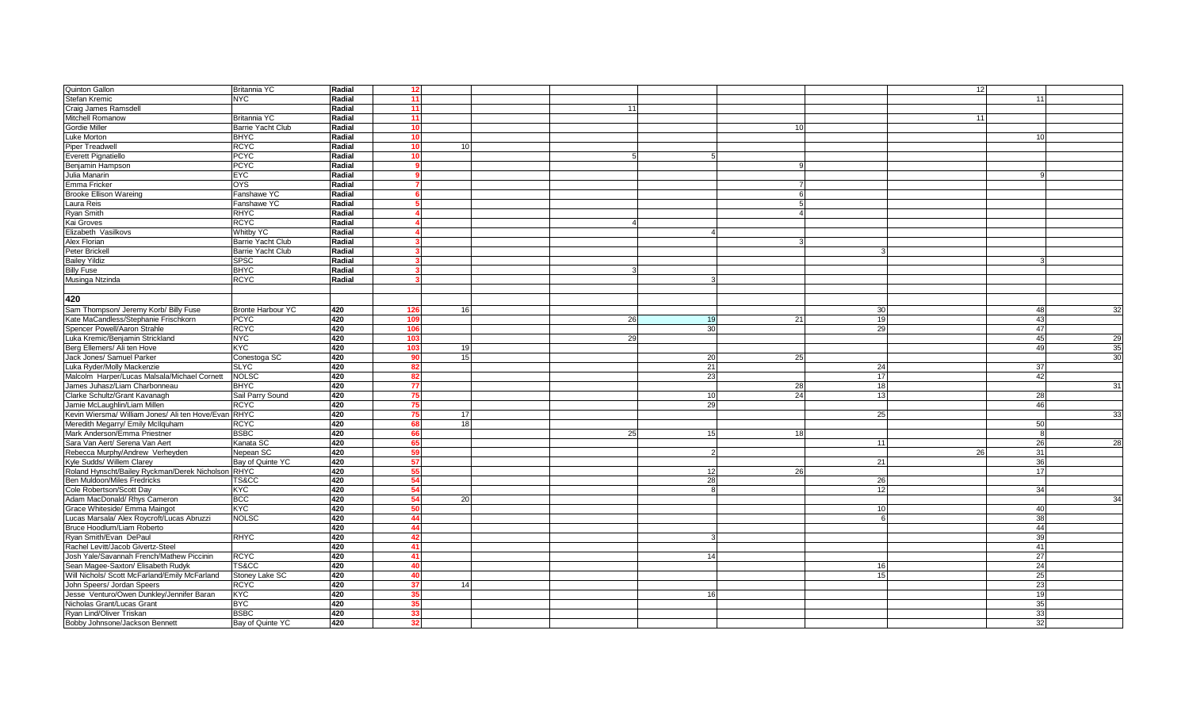| <b>Quinton Gallon</b>                                | Britannia YC             | Radial | 12             |                 |    |                 |    | 12 |                 |    |
|------------------------------------------------------|--------------------------|--------|----------------|-----------------|----|-----------------|----|----|-----------------|----|
| Stefan Kremic                                        | <b>NYC</b>               | Radial | 11             |                 |    |                 |    |    | 11              |    |
| Craig James Ramsdell                                 |                          | Radial | 11             |                 | 11 |                 |    |    |                 |    |
| Mitchell Romanow                                     | Britannia YC             | Radial | 11             |                 |    |                 |    | 11 |                 |    |
| Gordie Miller                                        | <b>Barrie Yacht Club</b> | Radial | 10             |                 |    | 10              |    |    |                 |    |
| Luke Morton                                          | <b>BHYC</b>              | Radial | 10             |                 |    |                 |    |    |                 |    |
| <b>Piper Treadwell</b>                               | <b>RCYC</b>              | Radial | 10             | 10 <sup>1</sup> |    |                 |    |    |                 |    |
| <b>Everett Pignatiello</b>                           | <b>PCYC</b>              | Radial | 10             |                 |    |                 |    |    |                 |    |
| Benjamin Hampson                                     | <b>PCYC</b>              | Radial |                |                 |    | 9               |    |    |                 |    |
| Julia Manarin                                        | <b>EYC</b>               | Radial |                |                 |    |                 |    |    |                 |    |
| Emma Fricker                                         | <b>OYS</b>               | Radial |                |                 |    | $\overline{7}$  |    |    |                 |    |
| <b>Brooke Ellison Wareing</b>                        | Fanshawe YC              | Radial |                |                 |    |                 | 6  |    |                 |    |
| Laura Reis                                           | Fanshawe YC              | Radial |                |                 |    |                 | 5  |    |                 |    |
| Ryan Smith                                           | <b>RHYC</b>              | Radial |                |                 |    | $\overline{4}$  |    |    |                 |    |
| Kai Groves                                           | <b>RCYC</b>              | Radial |                |                 |    |                 |    |    |                 |    |
| Elizabeth Vasilkovs                                  | <b>Whitby YC</b>         | Radial |                |                 |    |                 |    |    |                 |    |
| Alex Florian                                         | <b>Barrie Yacht Club</b> | Radial |                |                 |    |                 |    |    |                 |    |
| Peter Brickell                                       | <b>Barrie Yacht Club</b> | Radial |                |                 |    |                 |    |    |                 |    |
| <b>Bailey Yildiz</b>                                 | <b>SPSC</b>              | Radial |                |                 |    |                 |    |    |                 |    |
| <b>Billy Fuse</b>                                    | <b>BHYC</b>              | Radial |                |                 |    |                 |    |    |                 |    |
| Musinga Ntzinda                                      | <b>RCYC</b>              | Radial |                |                 |    |                 |    |    |                 |    |
|                                                      |                          |        |                |                 |    |                 |    |    |                 |    |
| 420                                                  |                          |        |                |                 |    |                 |    |    |                 |    |
|                                                      |                          |        |                |                 |    |                 |    |    |                 |    |
| Sam Thompson/ Jeremy Korb/ Billy Fuse                | <b>Bronte Harbour YC</b> | 420    | 126            | 16              |    |                 | 30 |    | 48              | 32 |
| Kate MaCandless/Stephanie Frischkorn                 | <b>PCYC</b>              | 420    | 109            |                 | 26 | 21<br>19        | 19 |    | 43              |    |
| Spencer Powell/Aaron Strahle                         | <b>RCYC</b>              | 420    | 106            |                 |    | 30              | 29 |    | 47              |    |
| Luka Kremic/Benjamin Strickland                      | <b>NYC</b>               | 420    | 103            |                 | 29 |                 |    |    | 45              | 29 |
| Berg Ellemers/ Ali ten Hove                          | <b>KYC</b>               | 420    | 103            | 19              |    |                 |    |    | 49              | 35 |
| Jack Jones/ Samuel Parker                            | Conestoga SC             | 420    | ۵r             | 15              |    | 25<br>20        |    |    |                 | 30 |
| Luka Ryder/Molly Mackenzie                           | <b>SLYC</b>              | 420    | 82             |                 |    | 21              | 24 |    | 37              |    |
| Malcolm Harper/Lucas Malsala/Michael Cornett         | <b>NOLSC</b>             | 420    |                |                 |    | 23              | 17 |    | 42              |    |
| James Juhasz/Liam Charbonneau                        | <b>BHYC</b>              | 420    | 77             |                 |    | 28              | 18 |    |                 | 31 |
| Clarke Schultz/Grant Kavanagh                        | Sail Parry Sound         | 420    | -75            |                 |    | 24<br>10I       | 13 |    | <b>28</b>       |    |
| Jamie McLaughlin/Liam Millen                         | <b>RCYC</b>              | 420    | 75             |                 |    | 29              |    |    | 46              |    |
| Kevin Wiersma/ William Jones/ Ali ten Hove/Evan RHYC |                          | 420    | 75             | 17              |    |                 | 25 |    |                 | 33 |
| Meredith Megarry/ Emily McIlquham                    | <b>RCYC</b>              | 420    |                | 18 <sup>l</sup> |    |                 |    |    | 50              |    |
| Mark Anderson/Emma Priestner                         | <b>BSBC</b>              | 420    | 66             |                 | 25 | 15<br>18        |    |    | $\mathsf{R}$    |    |
| Sara Van Aert/ Serena Van Aert                       | Kanata SC                | 420    | -65            |                 |    |                 | 11 |    | 26              | 28 |
| Rebecca Murphy/Andrew Verheyden                      | Nepean SC                | 420    |                |                 |    |                 |    | 26 | 31              |    |
| Kyle Sudds/ Willem Clarey                            | Bay of Quinte YC         | 420    | 57             |                 |    |                 | 21 |    | 36              |    |
| Roland Hynscht/Bailey Ryckman/Derek Nicholson RHYC   |                          | 420    |                |                 |    | <b>26</b><br>12 |    |    | 17              |    |
| Ben Muldoon/Miles Fredricks                          | TS&CC                    | 420    |                |                 |    | 28              | 26 |    |                 |    |
| Cole Robertson/Scott Day                             | KYC                      | 420    | 54             |                 |    |                 | 12 |    | 34              |    |
| Adam MacDonald/ Rhys Cameron                         | <b>BCC</b>               | 420    | 54             | 20              |    |                 |    |    |                 | 34 |
| Grace Whiteside/ Emma Maingot                        | KYC                      | 420    | 50             |                 |    |                 | 10 |    | 40              |    |
| Lucas Marsala/ Alex Roycroft/Lucas Abruzzi           | <b>NOLSC</b>             | 420    | 44             |                 |    |                 |    |    | 38              |    |
| Bruce Hoodlum/Liam Roberto                           |                          | 420    | 44             |                 |    |                 |    |    | 44              |    |
| Ryan Smith/Evan DePaul                               | <b>RHYC</b>              | 420    | 42             |                 |    |                 |    |    | 39              |    |
| Rachel Levitt/Jacob Givertz-Steel                    |                          | 420    | 41             |                 |    |                 |    |    | 41              |    |
| Josh Yale/Savannah French/Mathew Piccinin            | <b>RCYC</b>              | 420    | 41             |                 |    | 14              |    |    | 27              |    |
| Sean Magee-Saxton/ Elisabeth Rudyk                   | TS&CC                    | 420    | AC             |                 |    |                 | 16 |    | 24              |    |
| Will Nichols/ Scott McFarland/Emily McFarland        | Stoney Lake SC           | 420    | $\overline{A}$ |                 |    |                 | 15 |    | 25              |    |
| John Speers/ Jordan Speers                           | <b>RCYC</b>              | 420    | 37             | 14              |    |                 |    |    | 23              |    |
| Jesse Venturo/Owen Dunkley/Jennifer Baran            | KYC                      | 420    | 35             |                 |    | 16              |    |    | 19              |    |
| Nicholas Grant/Lucas Grant                           | <b>B</b> <sub>C</sub>    | 420    | 35             |                 |    |                 |    |    | 35              |    |
| Ryan Lind/Oliver Triskan                             | <b>BSBC</b>              | 420    | 33             |                 |    |                 |    |    | 33 <sub>1</sub> |    |
| Bobby Johnsone/Jackson Bennett                       | Bay of Quinte YC         | 420    | 32             |                 |    |                 |    |    | 32 <sub>1</sub> |    |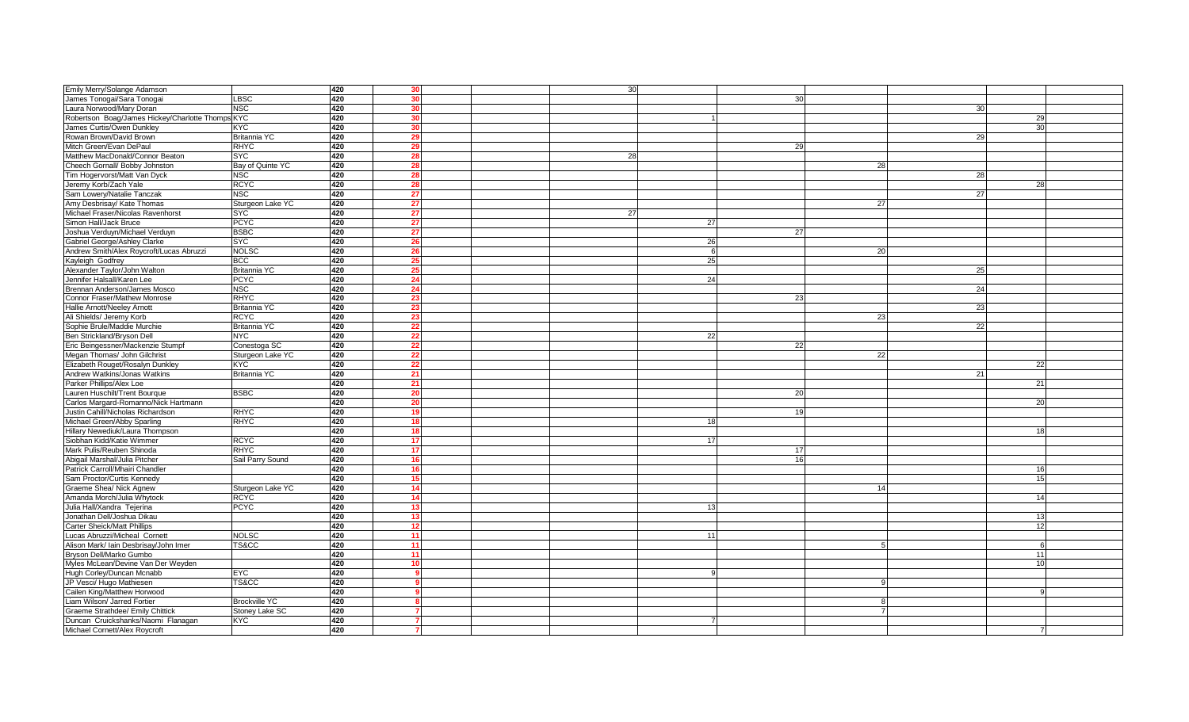| Emily Merry/Solange Adamson                      |                      | 420 | 30              |  | 30  |                 |    |    |                |  |
|--------------------------------------------------|----------------------|-----|-----------------|--|-----|-----------------|----|----|----------------|--|
| James Tonogai/Sara Tonogai                       | LBSC                 | 420 | -30             |  |     | 30 <sup>1</sup> |    |    |                |  |
| Laura Norwood/Mary Doran                         | <b>NSC</b>           | 420 |                 |  |     |                 |    | 30 |                |  |
| Robertson Boag/James Hickey/Charlotte Thomps KYC |                      | 420 | 30              |  |     |                 |    |    | 29             |  |
| James Curtis/Owen Dunkley                        | <b>KYC</b>           | 420 |                 |  |     |                 |    |    | 30             |  |
| Rowan Brown/David Brown                          | Britannia YC         | 420 | 20              |  |     |                 |    | 29 |                |  |
| Mitch Green/Evan DePaul                          | <b>RHYC</b>          | 420 |                 |  |     | 29              |    |    |                |  |
| Matthew MacDonald/Connor Beaton                  | <b>SYC</b>           | 420 | 28              |  | 28  |                 |    |    |                |  |
| Cheech Gornall/ Bobby Johnston                   | Bay of Quinte YC     | 420 | 28              |  |     |                 | 28 |    |                |  |
|                                                  | <b>NSC</b>           | 420 | 28              |  |     |                 |    | 28 |                |  |
| Tim Hogervorst/Matt Van Dyck                     |                      |     |                 |  |     |                 |    |    |                |  |
| Jeremy Korb/Zach Yale                            | <b>RCYC</b>          | 420 | 28              |  |     |                 |    |    | 28             |  |
| Sam Lowery/Natalie Tanczak                       | <b>NSC</b>           | 420 | 27              |  |     |                 |    | 27 |                |  |
| Amy Desbrisay/ Kate Thomas                       | Sturgeon Lake YC     | 420 | 27              |  |     |                 | 27 |    |                |  |
| Michael Fraser/Nicolas Ravenhorst                | <b>SYC</b>           | 420 | 27              |  | 27  |                 |    |    |                |  |
| Simon Hall/Jack Bruce                            | <b>PCYC</b>          | 420 | 27              |  | 27  |                 |    |    |                |  |
| Joshua Verduyn/Michael Verduyn                   | <b>BSBC</b>          | 420 | 27              |  |     | 27              |    |    |                |  |
| Gabriel George/Ashley Clarke                     | <b>SYC</b>           | 420 |                 |  | 26  |                 |    |    |                |  |
| Andrew Smith/Alex Roycroft/Lucas Abruzzi         | <b>NOLSC</b>         | 420 | 26              |  | - 6 |                 | 20 |    |                |  |
| Kayleigh Godfrey                                 | <b>BCC</b>           | 420 |                 |  | 25  |                 |    |    |                |  |
| Alexander Taylor/John Walton                     | <b>Britannia YC</b>  | 420 | 25              |  |     |                 |    | 25 |                |  |
| Jennifer Halsall/Karen Lee                       | <b>PCYC</b>          | 420 | 24              |  | 24  |                 |    |    |                |  |
| Brennan Anderson/James Mosco                     | <b>NSC</b>           | 420 | 24              |  |     |                 |    | 24 |                |  |
| Connor Fraser/Mathew Monrose                     | <b>RHYC</b>          | 420 | 23              |  |     | 23              |    |    |                |  |
| Hallie Arnott/Neeley Arnott                      | Britannia YC         | 420 |                 |  |     |                 |    | 23 |                |  |
| Ali Shields/ Jeremy Korb                         | <b>RCYC</b>          | 420 | -23             |  |     |                 | 23 |    |                |  |
| Sophie Brule/Maddie Murchie                      | Britannia YC         | 420 | 22              |  |     |                 |    | 22 |                |  |
| Ben Strickland/Bryson Dell                       | <b>NYC</b>           | 420 | 22              |  | 22  |                 |    |    |                |  |
| Eric Beingessner/Mackenzie Stumpf                | Conestoga SC         | 420 | 22              |  |     | 22              |    |    |                |  |
| Megan Thomas/ John Gilchrist                     | Sturgeon Lake YC     | 420 | 22              |  |     |                 | 22 |    |                |  |
| Elizabeth Rouget/Rosalyn Dunkley                 | <b>KYC</b>           | 420 |                 |  |     |                 |    |    | 22             |  |
| Andrew Watkins/Jonas Watkins                     | Britannia YC         | 420 | 21              |  |     |                 |    | 21 |                |  |
| Parker Phillips/Alex Loe                         |                      | 420 | 21              |  |     |                 |    |    | 21             |  |
| Lauren Huschilt/Trent Bourque                    | <b>BSBC</b>          | 420 | 20              |  |     | 20              |    |    |                |  |
| Carlos Margard-Romanno/Nick Hartmann             |                      | 420 | -20             |  |     |                 |    |    | 20             |  |
| Justin Cahill/Nicholas Richardson                | <b>RHYC</b>          | 420 | 19              |  |     | 19              |    |    |                |  |
| Michael Green/Abby Sparling                      | <b>RHYC</b>          | 420 | 18 <sup>1</sup> |  | 18  |                 |    |    |                |  |
| Hillary Newediuk/Laura Thompson                  |                      | 420 | 18              |  |     |                 |    |    |                |  |
| Siobhan Kidd/Katie Wimmer                        | <b>RCYC</b>          | 420 | 17              |  | 17  |                 |    |    |                |  |
| Mark Pulis/Reuben Shinoda                        | <b>RHYC</b>          | 420 | 17              |  |     | 17              |    |    |                |  |
| Abigail Marshal/Julia Pitcher                    | Sail Parry Sound     | 420 |                 |  |     | 16              |    |    |                |  |
| Patrick Carroll/Mhairi Chandler                  |                      | 420 | 16              |  |     |                 |    |    | 16             |  |
| Sam Proctor/Curtis Kennedy                       |                      | 420 | 15              |  |     |                 |    |    | 15             |  |
| Graeme Shea/ Nick Agnew                          | Sturgeon Lake YC     | 420 | 14              |  |     |                 | 14 |    |                |  |
| Amanda Morch/Julia Whytock                       | <b>RCYC</b>          | 420 | 14              |  |     |                 |    |    | 14             |  |
| Julia Hall/Xandra Tejerina                       | <b>PCYC</b>          | 420 | 13              |  |     |                 |    |    |                |  |
| Jonathan Dell/Joshua Dikau                       |                      | 420 | 13              |  |     |                 |    |    | 13             |  |
| <b>Carter Sheick/Matt Phillips</b>               |                      | 420 | 12              |  |     |                 |    |    | 12             |  |
| Lucas Abruzzi/Micheal Cornett                    | <b>NOLSC</b>         | 420 | 11              |  | 11  |                 |    |    |                |  |
| Alison Mark/ Iain Desbrisay/John Imer            | TS&CC                | 420 | 11              |  |     |                 |    |    |                |  |
| Bryson Dell/Marko Gumbo                          |                      | 420 | 11              |  |     |                 |    |    | 11             |  |
| Myles McLean/Devine Van Der Weyden               |                      | 420 | 10              |  |     |                 |    |    | 1 <sub>0</sub> |  |
| Hugh Corley/Duncan Mcnabb                        | <b>EYC</b>           | 420 |                 |  |     |                 |    |    |                |  |
| JP Vesci/ Hugo Mathiesen                         | TS&CC                | 420 |                 |  |     |                 |    |    |                |  |
| Cailen King/Matthew Horwood                      |                      | 420 |                 |  |     |                 |    |    |                |  |
| Liam Wilson/ Jarred Fortier                      | <b>Brockville YC</b> | 420 |                 |  |     |                 |    |    |                |  |
| Graeme Strathdee/ Emily Chittick                 | Stoney Lake SC       | 420 |                 |  |     |                 |    |    |                |  |
| Duncan Cruickshanks/Naomi Flanagan               | <b>KYC</b>           | 420 |                 |  |     |                 |    |    |                |  |
| Michael Cornett/Alex Roycroft                    |                      | 420 |                 |  |     |                 |    |    |                |  |
|                                                  |                      |     |                 |  |     |                 |    |    |                |  |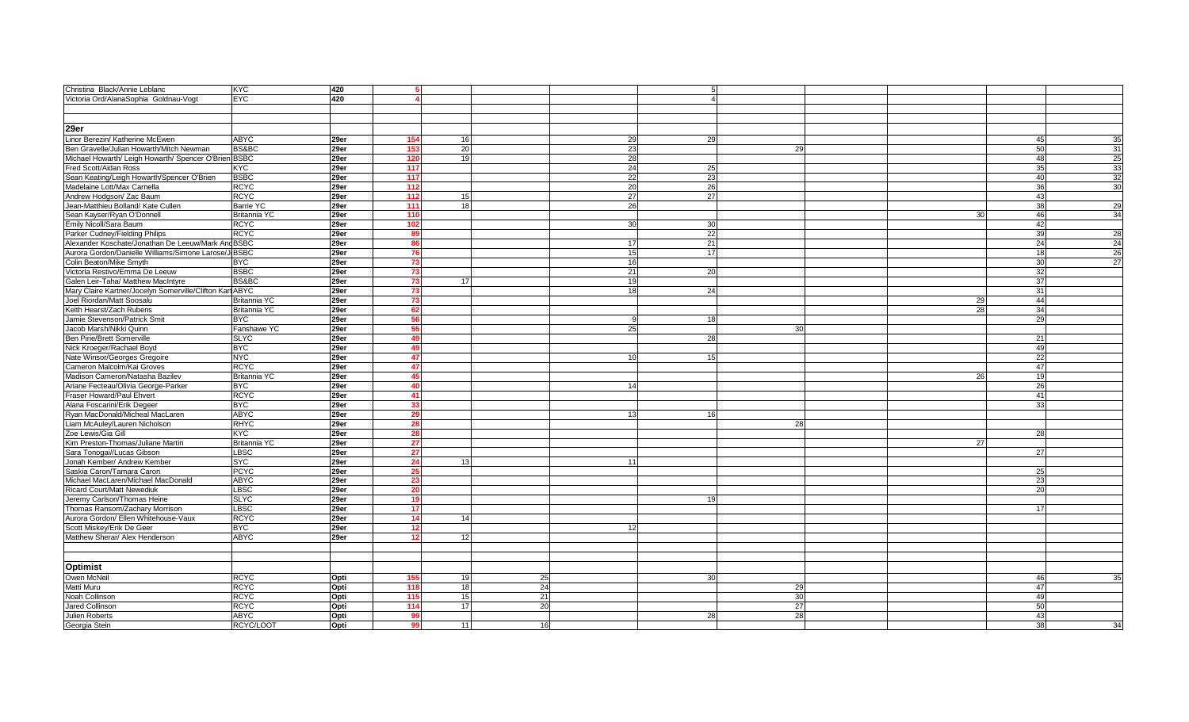| Christina Black/Annie Leblanc                                 | <b>KYC</b>          | 420  |                         |    |    |    |    |    |    |                 |                 |
|---------------------------------------------------------------|---------------------|------|-------------------------|----|----|----|----|----|----|-----------------|-----------------|
| Victoria Ord/AlanaSophia Goldnau-Vogt                         | <b>EYC</b>          | 420  |                         |    |    |    |    |    |    |                 |                 |
|                                                               |                     |      |                         |    |    |    |    |    |    |                 |                 |
|                                                               |                     |      |                         |    |    |    |    |    |    |                 |                 |
| 29er                                                          |                     |      |                         |    |    |    |    |    |    |                 |                 |
| Linor Berezin/ Katherine McEwen                               | <b>ABYC</b>         | 29er | 154                     | 16 |    | 29 | 29 |    |    | 45              | 35              |
|                                                               | BS&BC               |      | 153                     | 20 |    | 23 |    | 29 |    | 50              | 31              |
| Ben Gravelle/Julian Howarth/Mitch Newman                      |                     | 29er |                         |    |    |    |    |    |    |                 | <b>25</b>       |
| Michael Howarth/ Leigh Howarth/ Spencer O'Brien BSBC          |                     | 29er | 120<br>$\overline{117}$ | 19 |    | 28 |    |    |    | 48              |                 |
| Fred Scott/Aidan Ross                                         | <b>KYC</b>          | 29er |                         |    |    | 24 | 25 |    |    | 35              | 33              |
| Sean Keating/Leigh Howarth/Spencer O'Brien                    | <b>BSBC</b>         | 29er | 117                     |    |    | 22 | 23 |    |    | 40              | 32              |
| Madelaine Lott/Max Carnella                                   | <b>RCYC</b>         | 29er | 112                     |    |    | 20 | 26 |    |    | 36              | 30 <sup>1</sup> |
| Andrew Hodgson/ Zac Baum                                      | <b>RCYC</b>         | 29er | 112                     | 15 |    | 27 | 27 |    |    | 43              |                 |
| Jean-Matthieu Bolland/ Kate Cullen                            | Barrie YC           | 29er | 111                     | 18 |    | 26 |    |    |    | 38              | 29              |
| Sean Kayser/Ryan O'Donnell                                    | <b>Britannia YC</b> | 29er | 110                     |    |    |    |    |    | 30 | 46              | 34              |
| Emily Nicoll/Sara Baum                                        | <b>RCYC</b>         | 29er | 102                     |    |    | 30 | 30 |    |    | 42              |                 |
| Parker Cudney/Fielding Philips                                | <b>RCYC</b>         | 29er |                         |    |    |    | 22 |    |    | 39              | 28              |
| Alexander Koschate/Jonathan De Leeuw/Mark And BSBC            |                     | 29er | 86                      |    |    | 17 | 21 |    |    | 24              | 24              |
| Aurora Gordon/Danielle Williams/Simone Larose/J BSBC          |                     | 29er |                         |    |    | 15 | 17 |    |    | 18 <sup>l</sup> | <b>26</b>       |
| Colin Beaton/Mike Smyth                                       | <b>BYC</b>          | 29er | 73                      |    |    | 16 |    |    |    | 30              | 27              |
| Victoria Restivo/Emma De Leeuw                                | <b>BSBC</b>         | 29er | 73                      |    |    | 21 | 20 |    |    | 32              |                 |
| Galen Leir-Taha/ Matthew MacIntyre                            | BS&BC               | 29er | 73                      | 17 |    | 19 |    |    |    | 37              |                 |
| Mary Claire Kartner/Jocelyn Somerville/Clifton Kart ABYC      |                     | 29er | 73                      |    |    | 18 | 24 |    |    | 31              |                 |
| Joel Riordan/Matt Soosalu                                     | Britannia YC        | 29er | 73                      |    |    |    |    |    | 29 | 44              |                 |
| Keith Hearst/Zach Rubens                                      | <b>Britannia YC</b> | 29er | 62                      |    |    |    |    |    | 28 | 34              |                 |
| Jamie Stevenson/Patrick Smit                                  | <b>BYC</b>          | 29er | -56                     |    |    |    | 18 |    |    | 29              |                 |
| Jacob Marsh/Nikki Quinn                                       | Fanshawe YC         | 29er | 55                      |    |    | 25 |    | 30 |    |                 |                 |
| <b>Ben Pirie/Brett Somerville</b>                             | <b>SLYC</b>         | 29er | 49                      |    |    |    | 28 |    |    | 21              |                 |
| Nick Kroeger/Rachael Boyd                                     | <b>BYC</b>          | 29er | 4 <sup>c</sup>          |    |    |    |    |    |    | 49              |                 |
| Nate Winsor/Georges Gregoire                                  | <b>NYC</b>          | 29er | 47                      |    |    | 10 | 15 |    |    | 22              |                 |
| Cameron Malcolm/Kai Groves                                    | <b>RCYC</b>         | 29er | 47                      |    |    |    |    |    |    | 47              |                 |
| Madison Cameron/Natasha Bazilev                               | Britannia YC        | 29er | 45                      |    |    |    |    |    | 26 | 19              |                 |
| Ariane Fecteau/Olivia George-Parker                           | <b>BYC</b>          | 29er | 40                      |    |    | 14 |    |    |    | 26              |                 |
| Fraser Howard/Paul Ehvert                                     | <b>RCYC</b>         | 29er | 41                      |    |    |    |    |    |    | 41              |                 |
| Alana Foscarini/Erik Degeer                                   | <b>BYC</b>          | 29er | 33                      |    |    |    |    |    |    | 33              |                 |
| Ryan MacDonald/Micheal MacLaren                               | <b>ABYC</b>         | 29er | 29                      |    |    | 13 | 16 |    |    |                 |                 |
| Liam McAuley/Lauren Nicholson                                 | <b>RHYC</b>         | 29er | 28                      |    |    |    |    | 28 |    |                 |                 |
| Zoe Lewis/Gia Gill                                            | <b>KYC</b>          | 29er | -28                     |    |    |    |    |    |    | 28              |                 |
| Kim Preston-Thomas/Juliane Martin                             | Britannia YC        | 29er | 27                      |    |    |    |    |    | 27 |                 |                 |
| Sara Tonogai//Lucas Gibson                                    | <b>LBSC</b>         | 29er | 27                      |    |    |    |    |    |    | 27              |                 |
| Jonah Kember/ Andrew Kember                                   | <b>SYC</b>          | 29er | 24                      | 13 |    | 11 |    |    |    |                 |                 |
| Saskia Caron/Tamara Caron                                     | <b>PCYC</b>         | 29er | 25                      |    |    |    |    |    |    | 25              |                 |
| Michael MacLaren/Michael MacDonald                            | <b>ABYC</b>         | 29er | 23                      |    |    |    |    |    |    | 23              |                 |
| <b>Ricard Court/Matt Newediuk</b>                             | <b>LBSC</b>         | 29er | 20                      |    |    |    |    |    |    | 20              |                 |
|                                                               | <b>SLYC</b>         | 29er | 19                      |    |    |    | 10 |    |    |                 |                 |
| Jeremy Carlson/Thomas Heine<br>Thomas Ransom/Zachary Morrison | <b>LBSC</b>         | 29er | 17                      |    |    |    |    |    |    | 17              |                 |
| Aurora Gordon/ Ellen Whitehouse-Vaux                          | <b>RCYC</b>         | 29er | 14                      | 14 |    |    |    |    |    |                 |                 |
|                                                               | <b>BYC</b>          |      |                         |    |    |    |    |    |    |                 |                 |
| Scott Miskey/Erik De Geer                                     |                     | 29er | 12 <sup>1</sup><br>12   |    |    | 12 |    |    |    |                 |                 |
| Matthew Sherar/ Alex Henderson                                | <b>ABYC</b>         | 29er |                         | 12 |    |    |    |    |    |                 |                 |
|                                                               |                     |      |                         |    |    |    |    |    |    |                 |                 |
|                                                               |                     |      |                         |    |    |    |    |    |    |                 |                 |
| <b>Optimist</b>                                               |                     |      |                         |    |    |    |    |    |    |                 |                 |
| Owen McNeil                                                   | <b>RCYC</b>         | Opti | 155                     | 19 | 25 |    | 30 |    |    | 46              | 35              |
| Matti Muru                                                    | <b>RCYC</b>         | Opti | 118                     | 18 | 24 |    |    | 29 |    | 47              |                 |
| Noah Collinson                                                | <b>RCYC</b>         | Opti | 115                     | 15 | 21 |    |    | 30 |    | 49              |                 |
| <b>Jared Collinson</b>                                        | <b>RCYC</b>         | Opti | 114                     | 17 | 20 |    |    | 27 |    | 50              |                 |
| Julien Roberts                                                | <b>ABYC</b>         | Opti | -99                     |    |    |    | 28 | 28 |    | 43              |                 |
| Georgia Stein                                                 | RCYC/LOOT           | Opti | 99                      | 11 | 16 |    |    |    |    | 38              | 34              |
|                                                               |                     |      |                         |    |    |    |    |    |    |                 |                 |